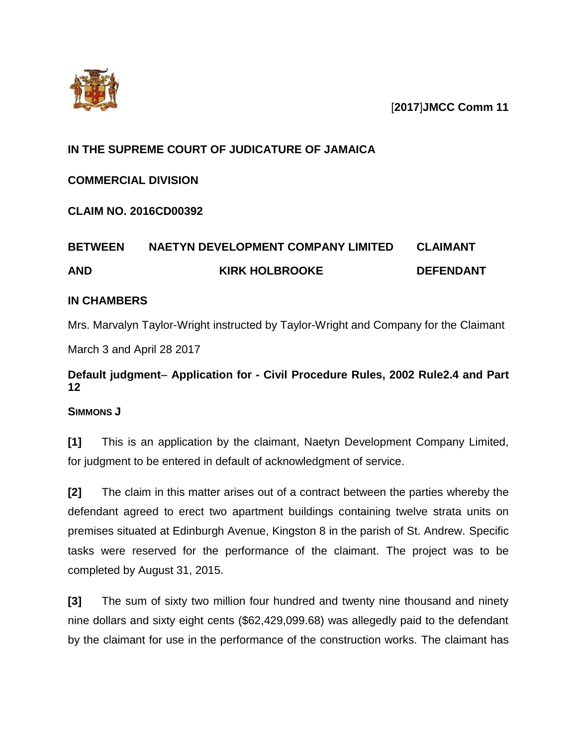



# **IN THE SUPREME COURT OF JUDICATURE OF JAMAICA**

## **COMMERCIAL DIVISION**

**CLAIM NO. 2016CD00392**

# **BETWEEN NAETYN DEVELOPMENT COMPANY LIMITED CLAIMANT AND KIRK HOLBROOKE DEFENDANT**

## **IN CHAMBERS**

Mrs. Marvalyn Taylor-Wright instructed by Taylor-Wright and Company for the Claimant March 3 and April 28 2017

# **Default judgment- Application for - Civil Procedure Rules, 2002 Rule2.4 and Part 12**

## **SIMMONS J**

**[1]** This is an application by the claimant, Naetyn Development Company Limited, for judgment to be entered in default of acknowledgment of service.

**[2]** The claim in this matter arises out of a contract between the parties whereby the defendant agreed to erect two apartment buildings containing twelve strata units on premises situated at Edinburgh Avenue, Kingston 8 in the parish of St. Andrew. Specific tasks were reserved for the performance of the claimant. The project was to be completed by August 31, 2015.

**[3]** The sum of sixty two million four hundred and twenty nine thousand and ninety nine dollars and sixty eight cents (\$62,429,099.68) was allegedly paid to the defendant by the claimant for use in the performance of the construction works. The claimant has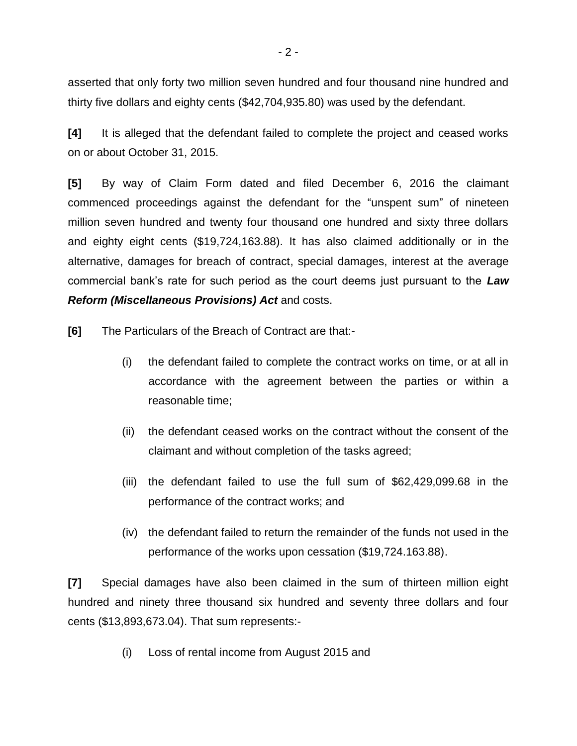asserted that only forty two million seven hundred and four thousand nine hundred and thirty five dollars and eighty cents (\$42,704,935.80) was used by the defendant.

**[4]** It is alleged that the defendant failed to complete the project and ceased works on or about October 31, 2015.

**[5]** By way of Claim Form dated and filed December 6, 2016 the claimant commenced proceedings against the defendant for the "unspent sum" of nineteen million seven hundred and twenty four thousand one hundred and sixty three dollars and eighty eight cents (\$19,724,163.88). It has also claimed additionally or in the alternative, damages for breach of contract, special damages, interest at the average commercial bank's rate for such period as the court deems just pursuant to the *Law Reform (Miscellaneous Provisions) Act* and costs.

**[6]** The Particulars of the Breach of Contract are that:-

- (i) the defendant failed to complete the contract works on time, or at all in accordance with the agreement between the parties or within a reasonable time;
- (ii) the defendant ceased works on the contract without the consent of the claimant and without completion of the tasks agreed;
- (iii) the defendant failed to use the full sum of \$62,429,099.68 in the performance of the contract works; and
- (iv) the defendant failed to return the remainder of the funds not used in the performance of the works upon cessation (\$19,724.163.88).

**[7]** Special damages have also been claimed in the sum of thirteen million eight hundred and ninety three thousand six hundred and seventy three dollars and four cents (\$13,893,673.04). That sum represents:-

(i) Loss of rental income from August 2015 and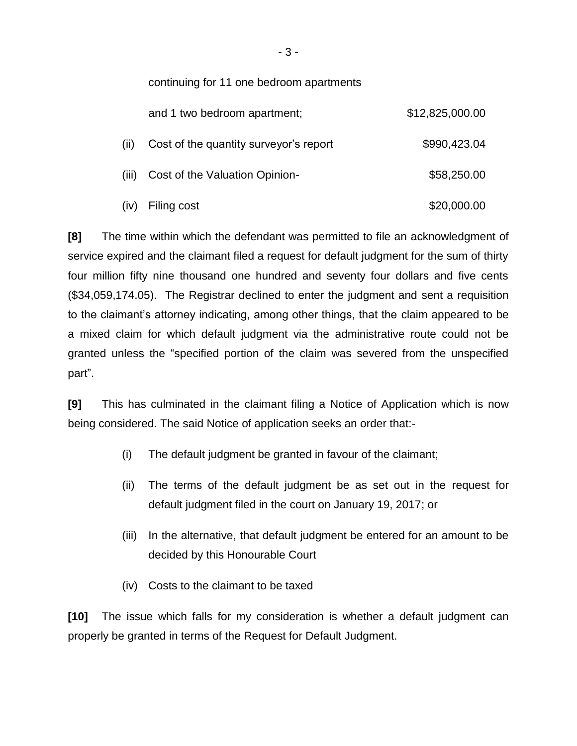continuing for 11 one bedroom apartments

|       | and 1 two bedroom apartment;           | \$12,825,000.00 |
|-------|----------------------------------------|-----------------|
| (ii)  | Cost of the quantity surveyor's report | \$990,423.04    |
| (iii) | Cost of the Valuation Opinion-         | \$58,250.00     |
|       | (iv) Filing cost                       | \$20,000.00     |

**[8]** The time within which the defendant was permitted to file an acknowledgment of service expired and the claimant filed a request for default judgment for the sum of thirty four million fifty nine thousand one hundred and seventy four dollars and five cents (\$34,059,174.05). The Registrar declined to enter the judgment and sent a requisition to the claimant's attorney indicating, among other things, that the claim appeared to be a mixed claim for which default judgment via the administrative route could not be granted unless the "specified portion of the claim was severed from the unspecified part".

**[9]** This has culminated in the claimant filing a Notice of Application which is now being considered. The said Notice of application seeks an order that:-

- (i) The default judgment be granted in favour of the claimant;
- (ii) The terms of the default judgment be as set out in the request for default judgment filed in the court on January 19, 2017; or
- (iii) In the alternative, that default judgment be entered for an amount to be decided by this Honourable Court
- (iv) Costs to the claimant to be taxed

**[10]** The issue which falls for my consideration is whether a default judgment can properly be granted in terms of the Request for Default Judgment.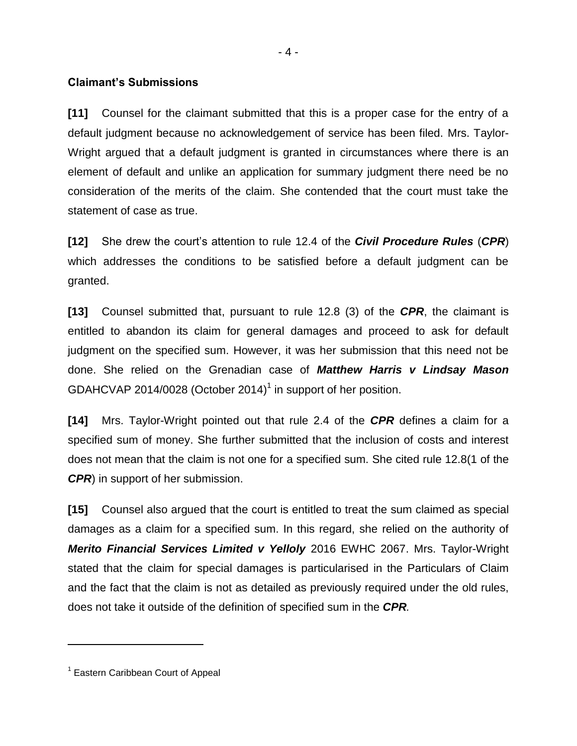#### **Claimant's Submissions**

**[11]** Counsel for the claimant submitted that this is a proper case for the entry of a default judgment because no acknowledgement of service has been filed. Mrs. Taylor-Wright argued that a default judgment is granted in circumstances where there is an element of default and unlike an application for summary judgment there need be no consideration of the merits of the claim. She contended that the court must take the statement of case as true.

**[12]** She drew the court's attention to rule 12.4 of the *Civil Procedure Rules* (*CPR*) which addresses the conditions to be satisfied before a default judgment can be granted.

**[13]** Counsel submitted that, pursuant to rule 12.8 (3) of the *CPR*, the claimant is entitled to abandon its claim for general damages and proceed to ask for default judgment on the specified sum. However, it was her submission that this need not be done. She relied on the Grenadian case of *Matthew Harris v Lindsay Mason* GDAHCVAP 2014/0028 (October 2014)<sup>1</sup> in support of her position.

**[14]** Mrs. Taylor-Wright pointed out that rule 2.4 of the *CPR* defines a claim for a specified sum of money. She further submitted that the inclusion of costs and interest does not mean that the claim is not one for a specified sum. She cited rule 12.8(1 of the *CPR*) in support of her submission.

**[15]** Counsel also argued that the court is entitled to treat the sum claimed as special damages as a claim for a specified sum. In this regard, she relied on the authority of *Merito Financial Services Limited v Yelloly* 2016 EWHC 2067. Mrs. Taylor-Wright stated that the claim for special damages is particularised in the Particulars of Claim and the fact that the claim is not as detailed as previously required under the old rules, does not take it outside of the definition of specified sum in the *CPR.*

 $\overline{a}$ 

<sup>&</sup>lt;sup>1</sup> Eastern Caribbean Court of Appeal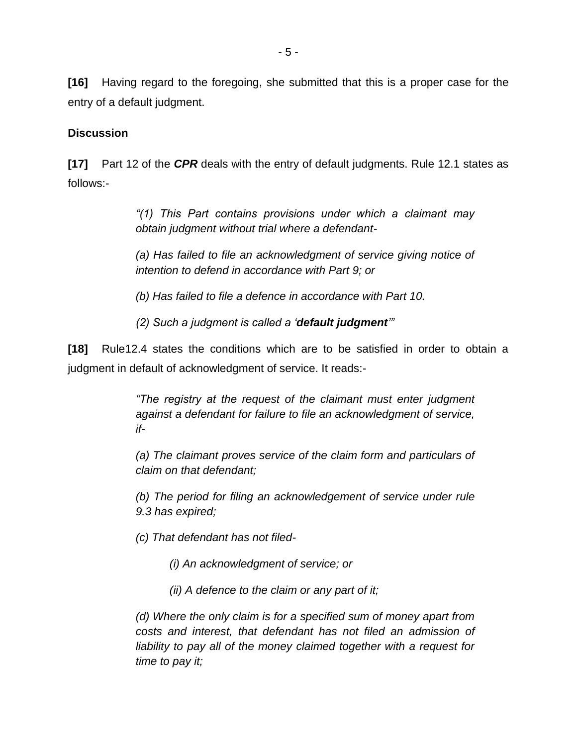**[16]** Having regard to the foregoing, she submitted that this is a proper case for the entry of a default judgment.

### **Discussion**

**[17]** Part 12 of the *CPR* deals with the entry of default judgments. Rule 12.1 states as follows:-

> *"(1) This Part contains provisions under which a claimant may obtain judgment without trial where a defendant-*

> *(a) Has failed to file an acknowledgment of service giving notice of intention to defend in accordance with Part 9; or*

*(b) Has failed to file a defence in accordance with Part 10.*

*(2) Such a judgment is called a 'default judgment'"*

**[18]** Rule12.4 states the conditions which are to be satisfied in order to obtain a judgment in default of acknowledgment of service. It reads:-

> *"The registry at the request of the claimant must enter judgment against a defendant for failure to file an acknowledgment of service, if-*

> *(a) The claimant proves service of the claim form and particulars of claim on that defendant;*

> *(b) The period for filing an acknowledgement of service under rule 9.3 has expired;*

*(c) That defendant has not filed-*

*(i) An acknowledgment of service; or*

*(ii) A defence to the claim or any part of it;*

*(d) Where the only claim is for a specified sum of money apart from costs and interest, that defendant has not filed an admission of liability to pay all of the money claimed together with a request for time to pay it;*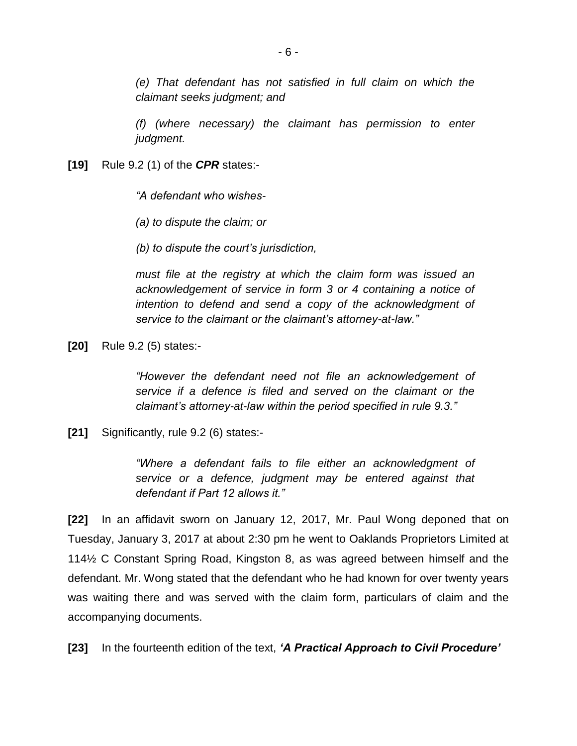*(e) That defendant has not satisfied in full claim on which the claimant seeks judgment; and*

*(f) (where necessary) the claimant has permission to enter judgment.*

**[19]** Rule 9.2 (1) of the *CPR* states:-

*"A defendant who wishes-*

*(a) to dispute the claim; or*

*(b) to dispute the court's jurisdiction,*

*must file at the registry at which the claim form was issued an acknowledgement of service in form 3 or 4 containing a notice of intention to defend and send a copy of the acknowledgment of service to the claimant or the claimant's attorney-at-law."*

**[20]** Rule 9.2 (5) states:-

*"However the defendant need not file an acknowledgement of service if a defence is filed and served on the claimant or the claimant's attorney-at-law within the period specified in rule 9.3."*

**[21]** Significantly, rule 9.2 (6) states:-

*"Where a defendant fails to file either an acknowledgment of service or a defence, judgment may be entered against that defendant if Part 12 allows it."*

**[22]** In an affidavit sworn on January 12, 2017, Mr. Paul Wong deponed that on Tuesday, January 3, 2017 at about 2:30 pm he went to Oaklands Proprietors Limited at 114½ C Constant Spring Road, Kingston 8, as was agreed between himself and the defendant. Mr. Wong stated that the defendant who he had known for over twenty years was waiting there and was served with the claim form, particulars of claim and the accompanying documents.

**[23]** In the fourteenth edition of the text, *'A Practical Approach to Civil Procedure'*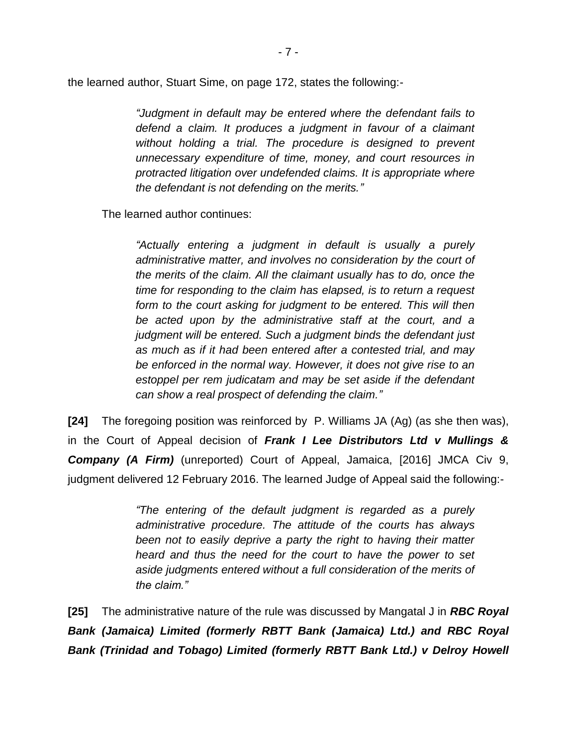the learned author, Stuart Sime, on page 172, states the following:-

*"Judgment in default may be entered where the defendant fails to defend a claim. It produces a judgment in favour of a claimant without holding a trial. The procedure is designed to prevent unnecessary expenditure of time, money, and court resources in protracted litigation over undefended claims. It is appropriate where the defendant is not defending on the merits."*

The learned author continues:

*"Actually entering a judgment in default is usually a purely administrative matter, and involves no consideration by the court of the merits of the claim. All the claimant usually has to do, once the time for responding to the claim has elapsed, is to return a request form to the court asking for judgment to be entered. This will then be acted upon by the administrative staff at the court, and a judgment will be entered. Such a judgment binds the defendant just as much as if it had been entered after a contested trial, and may be enforced in the normal way. However, it does not give rise to an estoppel per rem judicatam and may be set aside if the defendant can show a real prospect of defending the claim."*

**[24]** The foregoing position was reinforced by P. Williams JA (Ag) (as she then was), in the Court of Appeal decision of *Frank I Lee Distributors Ltd v Mullings & Company (A Firm)* (unreported) Court of Appeal, Jamaica, [2016] JMCA Civ 9, judgment delivered 12 February 2016. The learned Judge of Appeal said the following:-

> *"The entering of the default judgment is regarded as a purely administrative procedure. The attitude of the courts has always been not to easily deprive a party the right to having their matter heard and thus the need for the court to have the power to set aside judgments entered without a full consideration of the merits of the claim."*

**[25]** The administrative nature of the rule was discussed by Mangatal J in *RBC Royal Bank (Jamaica) Limited (formerly RBTT Bank (Jamaica) Ltd.) and RBC Royal Bank (Trinidad and Tobago) Limited (formerly RBTT Bank Ltd.) v Delroy Howell*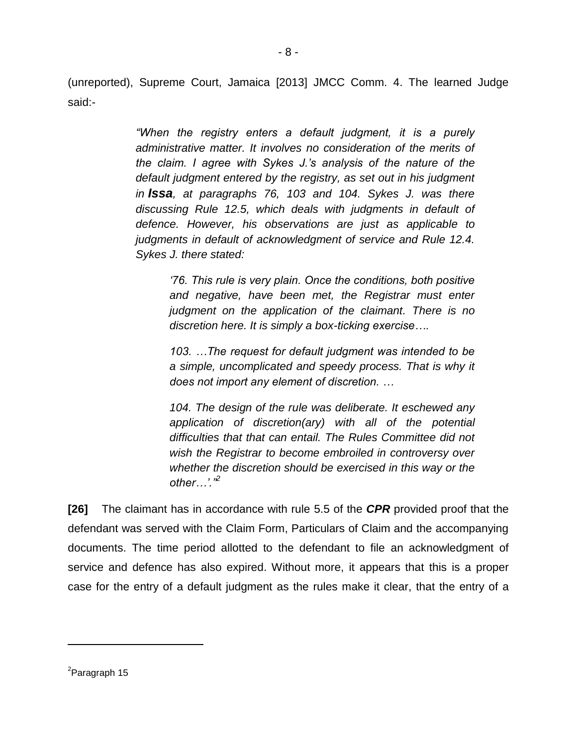(unreported), Supreme Court, Jamaica [2013] JMCC Comm. 4. The learned Judge said:-

> *"When the registry enters a default judgment, it is a purely administrative matter. It involves no consideration of the merits of the claim. I agree with Sykes J.'s analysis of the nature of the default judgment entered by the registry, as set out in his judgment in Issa, at paragraphs 76, 103 and 104. Sykes J. was there discussing Rule 12.5, which deals with judgments in default of defence. However, his observations are just as applicable to judgments in default of acknowledgment of service and Rule 12.4. Sykes J. there stated:*

*'76. This rule is very plain. Once the conditions, both positive and negative, have been met, the Registrar must enter judgment on the application of the claimant. There is no discretion here. It is simply a box-ticking exercise….*

*103. …The request for default judgment was intended to be a simple, uncomplicated and speedy process. That is why it does not import any element of discretion. …*

*104. The design of the rule was deliberate. It eschewed any application of discretion(ary) with all of the potential difficulties that that can entail. The Rules Committee did not wish the Registrar to become embroiled in controversy over whether the discretion should be exercised in this way or the other…'."<sup>2</sup>*

**[26]** The claimant has in accordance with rule 5.5 of the *CPR* provided proof that the defendant was served with the Claim Form, Particulars of Claim and the accompanying documents. The time period allotted to the defendant to file an acknowledgment of service and defence has also expired. Without more, it appears that this is a proper case for the entry of a default judgment as the rules make it clear, that the entry of a

 $\overline{a}$ 

<sup>&</sup>lt;sup>2</sup>Paragraph 15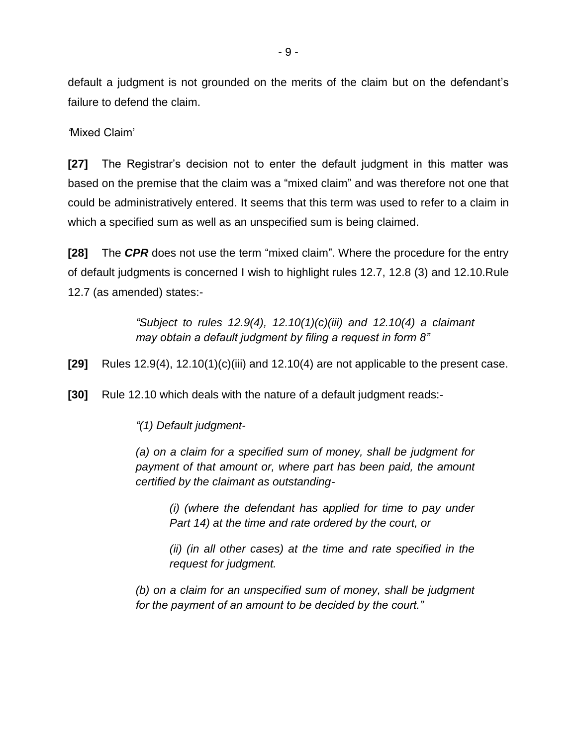default a judgment is not grounded on the merits of the claim but on the defendant's failure to defend the claim.

*'*Mixed Claim'

**[27]** The Registrar's decision not to enter the default judgment in this matter was based on the premise that the claim was a "mixed claim" and was therefore not one that could be administratively entered. It seems that this term was used to refer to a claim in which a specified sum as well as an unspecified sum is being claimed.

**[28]** The *CPR* does not use the term "mixed claim". Where the procedure for the entry of default judgments is concerned I wish to highlight rules 12.7, 12.8 (3) and 12.10.Rule 12.7 (as amended) states:-

> *"Subject to rules 12.9(4), 12.10(1)(c)(iii) and 12.10(4) a claimant may obtain a default judgment by filing a request in form 8"*

**[29]** Rules 12.9(4), 12.10(1)(c)(iii) and 12.10(4) are not applicable to the present case.

**[30]** Rule 12.10 which deals with the nature of a default judgment reads:-

*"(1) Default judgment-*

*(a) on a claim for a specified sum of money, shall be judgment for payment of that amount or, where part has been paid, the amount certified by the claimant as outstanding-*

*(i) (where the defendant has applied for time to pay under Part 14) at the time and rate ordered by the court, or*

*(ii) (in all other cases) at the time and rate specified in the request for judgment.*

*(b) on a claim for an unspecified sum of money, shall be judgment for the payment of an amount to be decided by the court."*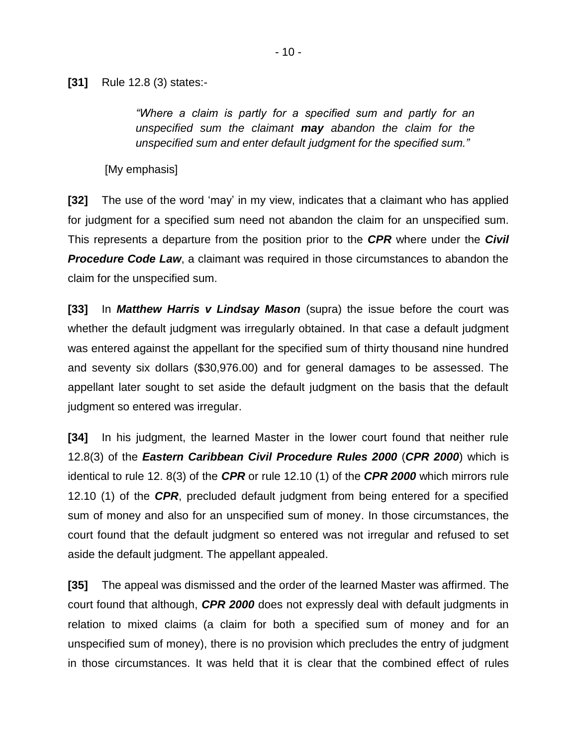**[31]** Rule 12.8 (3) states:-

*"Where a claim is partly for a specified sum and partly for an unspecified sum the claimant may abandon the claim for the unspecified sum and enter default judgment for the specified sum."*

[My emphasis]

**[32]** The use of the word 'may' in my view, indicates that a claimant who has applied for judgment for a specified sum need not abandon the claim for an unspecified sum. This represents a departure from the position prior to the *CPR* where under the *Civil*  **Procedure Code Law**, a claimant was required in those circumstances to abandon the claim for the unspecified sum.

**[33]** In *Matthew Harris v Lindsay Mason* (supra) the issue before the court was whether the default judgment was irregularly obtained. In that case a default judgment was entered against the appellant for the specified sum of thirty thousand nine hundred and seventy six dollars (\$30,976.00) and for general damages to be assessed. The appellant later sought to set aside the default judgment on the basis that the default judgment so entered was irregular.

**[34]** In his judgment, the learned Master in the lower court found that neither rule 12.8(3) of the *Eastern Caribbean Civil Procedure Rules 2000* (*CPR 2000*) which is identical to rule 12. 8(3) of the *CPR* or rule 12.10 (1) of the *CPR 2000* which mirrors rule 12.10 (1) of the *CPR*, precluded default judgment from being entered for a specified sum of money and also for an unspecified sum of money. In those circumstances, the court found that the default judgment so entered was not irregular and refused to set aside the default judgment. The appellant appealed.

**[35]** The appeal was dismissed and the order of the learned Master was affirmed. The court found that although, *CPR 2000* does not expressly deal with default judgments in relation to mixed claims (a claim for both a specified sum of money and for an unspecified sum of money), there is no provision which precludes the entry of judgment in those circumstances. It was held that it is clear that the combined effect of rules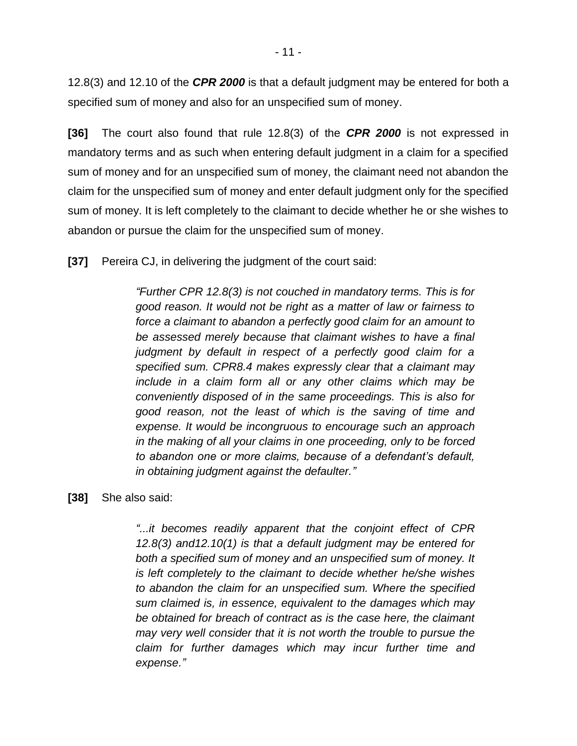12.8(3) and 12.10 of the *CPR 2000* is that a default judgment may be entered for both a specified sum of money and also for an unspecified sum of money.

**[36]** The court also found that rule 12.8(3) of the *CPR 2000* is not expressed in mandatory terms and as such when entering default judgment in a claim for a specified sum of money and for an unspecified sum of money, the claimant need not abandon the claim for the unspecified sum of money and enter default judgment only for the specified sum of money. It is left completely to the claimant to decide whether he or she wishes to abandon or pursue the claim for the unspecified sum of money.

**[37]** Pereira CJ, in delivering the judgment of the court said:

*"Further CPR 12.8(3) is not couched in mandatory terms. This is for good reason. It would not be right as a matter of law or fairness to force a claimant to abandon a perfectly good claim for an amount to be assessed merely because that claimant wishes to have a final judgment by default in respect of a perfectly good claim for a specified sum. CPR8.4 makes expressly clear that a claimant may include in a claim form all or any other claims which may be conveniently disposed of in the same proceedings. This is also for good reason, not the least of which is the saving of time and expense. It would be incongruous to encourage such an approach in the making of all your claims in one proceeding, only to be forced to abandon one or more claims, because of a defendant's default, in obtaining judgment against the defaulter."*

#### **[38]** She also said:

*"...it becomes readily apparent that the conjoint effect of CPR 12.8(3) and12.10(1) is that a default judgment may be entered for both a specified sum of money and an unspecified sum of money. It is left completely to the claimant to decide whether he/she wishes to abandon the claim for an unspecified sum. Where the specified sum claimed is, in essence, equivalent to the damages which may be obtained for breach of contract as is the case here, the claimant may very well consider that it is not worth the trouble to pursue the claim for further damages which may incur further time and expense."*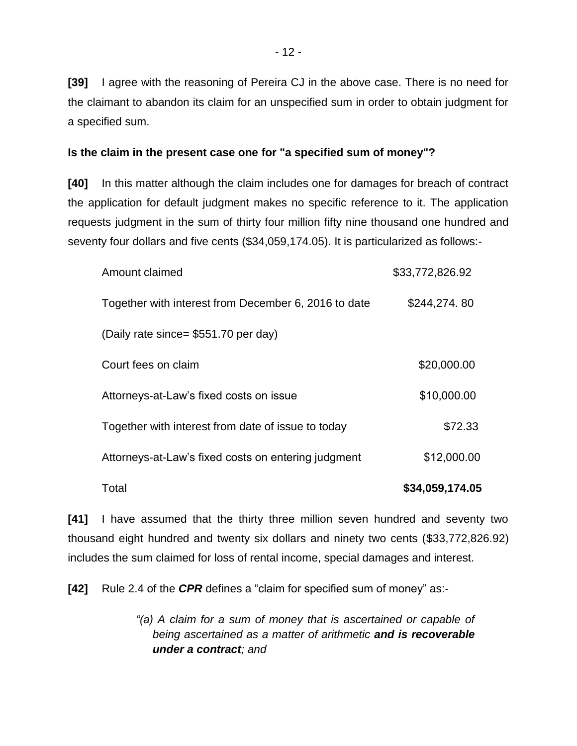**[39]** I agree with the reasoning of Pereira CJ in the above case. There is no need for the claimant to abandon its claim for an unspecified sum in order to obtain judgment for a specified sum.

#### **Is the claim in the present case one for "a specified sum of money"?**

**[40]** In this matter although the claim includes one for damages for breach of contract the application for default judgment makes no specific reference to it. The application requests judgment in the sum of thirty four million fifty nine thousand one hundred and seventy four dollars and five cents (\$34,059,174.05). It is particularized as follows:-

| Amount claimed                                       | \$33,772,826.92 |
|------------------------------------------------------|-----------------|
| Together with interest from December 6, 2016 to date | \$244,274.80    |
| (Daily rate since= \$551.70 per day)                 |                 |
| Court fees on claim                                  | \$20,000.00     |
| Attorneys-at-Law's fixed costs on issue              | \$10,000.00     |
| Together with interest from date of issue to today   | \$72.33         |
| Attorneys-at-Law's fixed costs on entering judgment  | \$12,000.00     |
| Total                                                | \$34,059,174.05 |

**[41]** I have assumed that the thirty three million seven hundred and seventy two thousand eight hundred and twenty six dollars and ninety two cents (\$33,772,826.92) includes the sum claimed for loss of rental income, special damages and interest.

**[42]** Rule 2.4 of the *CPR* defines a "claim for specified sum of money" as:-

*"(a) A claim for a sum of money that is ascertained or capable of being ascertained as a matter of arithmetic and is recoverable under a contract; and*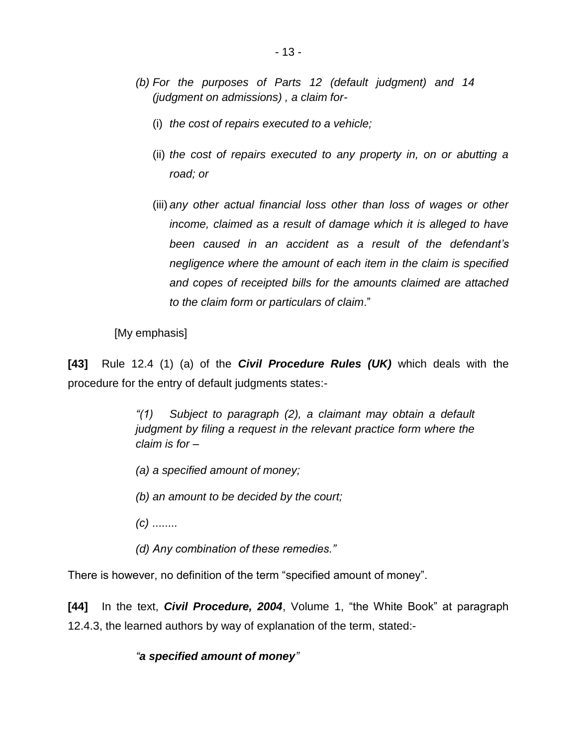- *(b) For the purposes of Parts 12 (default judgment) and 14 (judgment on admissions) , a claim for-*
	- (i) *the cost of repairs executed to a vehicle;*
	- (ii) *the cost of repairs executed to any property in, on or abutting a road; or*
	- (iii) *any other actual financial loss other than loss of wages or other income, claimed as a result of damage which it is alleged to have been caused in an accident as a result of the defendant's negligence where the amount of each item in the claim is specified and copes of receipted bills for the amounts claimed are attached to the claim form or particulars of claim*."

[My emphasis]

**[43]** Rule 12.4 (1) (a) of the *Civil Procedure Rules (UK)* which deals with the procedure for the entry of default judgments states:-

> *"(1) Subject to paragraph (2), a claimant may obtain a default judgment by filing a request in the relevant practice form where the claim is for –*

- *(a) a specified amount of money;*
- *(b) an amount to be decided by the court;*
- *(c) ........*
- *(d) Any combination of these remedies."*

There is however, no definition of the term "specified amount of money".

**[44]** In the text, *Civil Procedure, 2004*, Volume 1, "the White Book" at paragraph 12.4.3, the learned authors by way of explanation of the term, stated:-

## *"a specified amount of money"*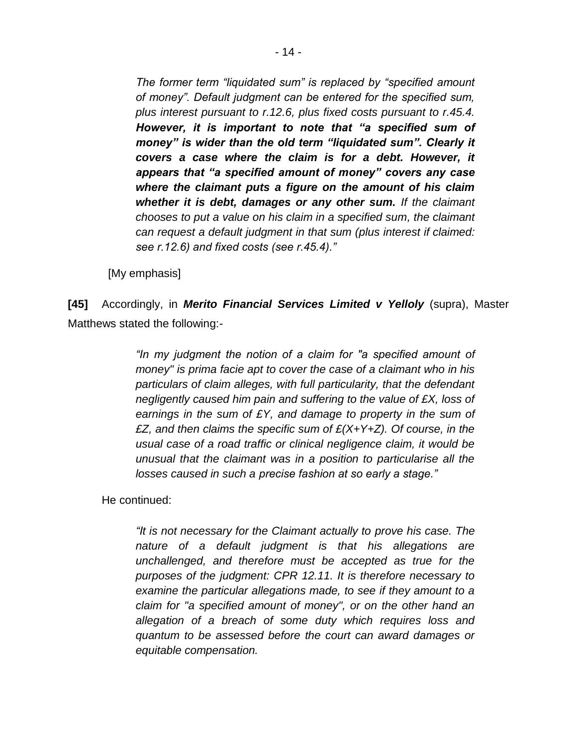*The former term "liquidated sum" is replaced by "specified amount of money". Default judgment can be entered for the specified sum, plus interest pursuant to r.12.6, plus fixed costs pursuant to r.45.4. However, it is important to note that "a specified sum of money" is wider than the old term "liquidated sum". Clearly it covers a case where the claim is for a debt. However, it appears that "a specified amount of money" covers any case where the claimant puts a figure on the amount of his claim whether it is debt, damages or any other sum. If the claimant chooses to put a value on his claim in a specified sum, the claimant can request a default judgment in that sum (plus interest if claimed: see r.12.6) and fixed costs (see r.45.4)."* 

[My emphasis]

**[45]** Accordingly, in *Merito Financial Services Limited v Yelloly* (supra), Master Matthews stated the following:-

> *"In my judgment the notion of a claim for "a specified amount of money" is prima facie apt to cover the case of a claimant who in his particulars of claim alleges, with full particularity, that the defendant negligently caused him pain and suffering to the value of £X, loss of earnings in the sum of £Y, and damage to property in the sum of £Z, and then claims the specific sum of £(X+Y+Z). Of course, in the usual case of a road traffic or clinical negligence claim, it would be unusual that the claimant was in a position to particularise all the losses caused in such a precise fashion at so early a stage."*

He continued:

*"It is not necessary for the Claimant actually to prove his case. The nature of a default judgment is that his allegations are unchallenged, and therefore must be accepted as true for the purposes of the judgment: CPR 12.11. It is therefore necessary to examine the particular allegations made, to see if they amount to a claim for "a specified amount of money", or on the other hand an allegation of a breach of some duty which requires loss and quantum to be assessed before the court can award damages or equitable compensation.*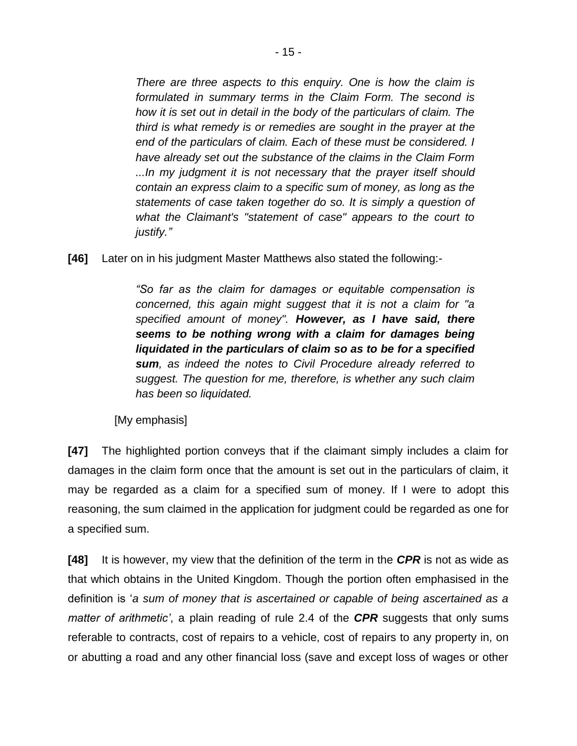*There are three aspects to this enquiry. One is how the claim is formulated in summary terms in the Claim Form. The second is how it is set out in detail in the body of the particulars of claim. The third is what remedy is or remedies are sought in the prayer at the end of the particulars of claim. Each of these must be considered. I have already set out the substance of the claims in the Claim Form ...In my judgment it is not necessary that the prayer itself should contain an express claim to a specific sum of money, as long as the statements of case taken together do so. It is simply a question of what the Claimant's "statement of case" appears to the court to justify."*

**[46]** Later on in his judgment Master Matthews also stated the following:-

*"So far as the claim for damages or equitable compensation is concerned, this again might suggest that it is not a claim for "a specified amount of money". However, as I have said, there seems to be nothing wrong with a claim for damages being liquidated in the particulars of claim so as to be for a specified sum, as indeed the notes to Civil Procedure already referred to suggest. The question for me, therefore, is whether any such claim has been so liquidated.*

[My emphasis]

**[47]** The highlighted portion conveys that if the claimant simply includes a claim for damages in the claim form once that the amount is set out in the particulars of claim, it may be regarded as a claim for a specified sum of money. If I were to adopt this reasoning, the sum claimed in the application for judgment could be regarded as one for a specified sum.

**[48]** It is however, my view that the definition of the term in the *CPR* is not as wide as that which obtains in the United Kingdom. Though the portion often emphasised in the definition is '*a sum of money that is ascertained or capable of being ascertained as a matter of arithmetic'*, a plain reading of rule 2.4 of the *CPR* suggests that only sums referable to contracts, cost of repairs to a vehicle, cost of repairs to any property in, on or abutting a road and any other financial loss (save and except loss of wages or other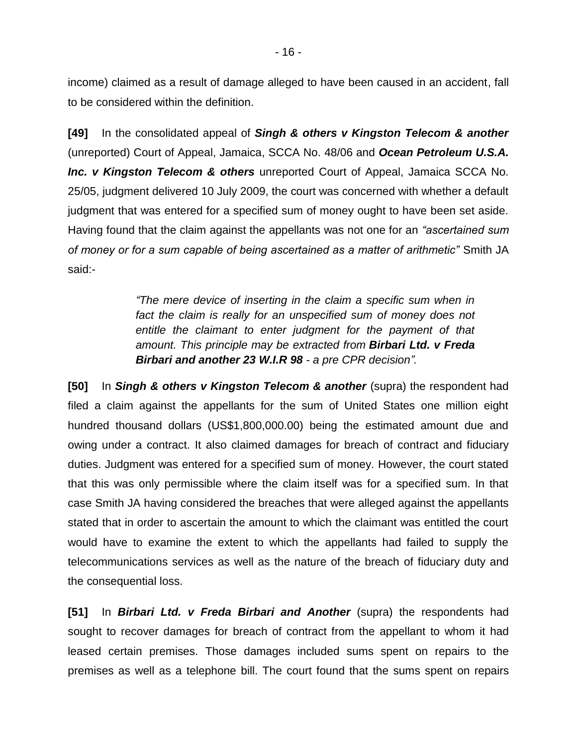income) claimed as a result of damage alleged to have been caused in an accident, fall to be considered within the definition.

**[49]** In the consolidated appeal of *Singh & others v Kingston Telecom & another*  (unreported) Court of Appeal, Jamaica, SCCA No. 48/06 and *Ocean Petroleum U.S.A. Inc. v Kingston Telecom & others* unreported Court of Appeal, Jamaica SCCA No. 25/05, judgment delivered 10 July 2009, the court was concerned with whether a default judgment that was entered for a specified sum of money ought to have been set aside. Having found that the claim against the appellants was not one for an *"ascertained sum of money or for a sum capable of being ascertained as a matter of arithmetic"* Smith JA said:-

> *"The mere device of inserting in the claim a specific sum when in*  fact the claim is really for an unspecified sum of money does not *entitle the claimant to enter judgment for the payment of that amount. This principle may be extracted from Birbari Ltd. v Freda Birbari and another 23 W.I.R 98 - a pre CPR decision".*

**[50]** In *Singh & others v Kingston Telecom & another* (supra) the respondent had filed a claim against the appellants for the sum of United States one million eight hundred thousand dollars (US\$1,800,000.00) being the estimated amount due and owing under a contract. It also claimed damages for breach of contract and fiduciary duties. Judgment was entered for a specified sum of money. However, the court stated that this was only permissible where the claim itself was for a specified sum. In that case Smith JA having considered the breaches that were alleged against the appellants stated that in order to ascertain the amount to which the claimant was entitled the court would have to examine the extent to which the appellants had failed to supply the telecommunications services as well as the nature of the breach of fiduciary duty and the consequential loss.

**[51]** In *Birbari Ltd. v Freda Birbari and Another* (supra) the respondents had sought to recover damages for breach of contract from the appellant to whom it had leased certain premises. Those damages included sums spent on repairs to the premises as well as a telephone bill. The court found that the sums spent on repairs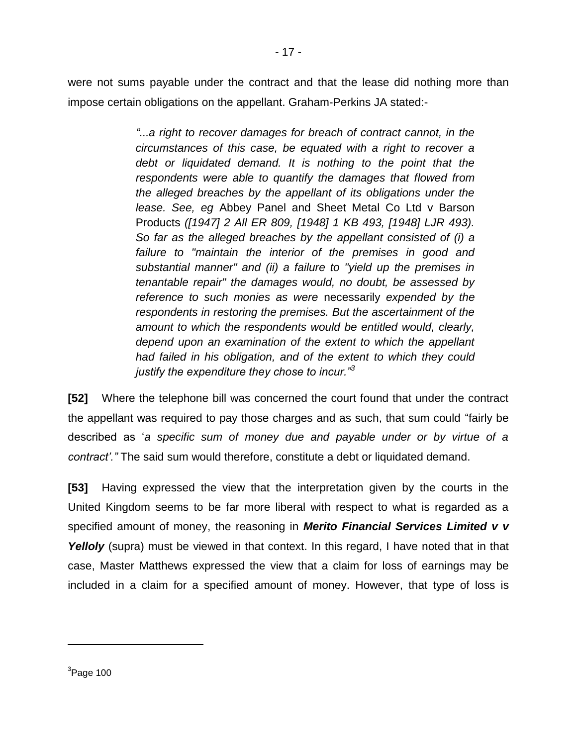were not sums payable under the contract and that the lease did nothing more than impose certain obligations on the appellant. Graham-Perkins JA stated:-

> *"...a right to recover damages for breach of contract cannot, in the circumstances of this case, be equated with a right to recover a debt or liquidated demand. It is nothing to the point that the respondents were able to quantify the damages that flowed from the alleged breaches by the appellant of its obligations under the lease. See, eg* Abbey Panel and Sheet Metal Co Ltd v Barson Products *([1947] 2 All ER 809, [1948] 1 KB 493, [1948] LJR 493). So far as the alleged breaches by the appellant consisted of (i) a failure to "maintain the interior of the premises in good and substantial manner" and (ii) a failure to "yield up the premises in tenantable repair" the damages would, no doubt, be assessed by reference to such monies as were* necessarily *expended by the respondents in restoring the premises. But the ascertainment of the amount to which the respondents would be entitled would, clearly, depend upon an examination of the extent to which the appellant had failed in his obligation, and of the extent to which they could justify the expenditure they chose to incur."<sup>3</sup>*

**[52]** Where the telephone bill was concerned the court found that under the contract the appellant was required to pay those charges and as such, that sum could "fairly be described as '*a specific sum of money due and payable under or by virtue of a contract'."* The said sum would therefore, constitute a debt or liquidated demand.

**[53]** Having expressed the view that the interpretation given by the courts in the United Kingdom seems to be far more liberal with respect to what is regarded as a specified amount of money, the reasoning in *Merito Financial Services Limited v v Yelloly* (supra) must be viewed in that context. In this regard, I have noted that in that case, Master Matthews expressed the view that a claim for loss of earnings may be included in a claim for a specified amount of money. However, that type of loss is

 $\overline{a}$ 

 ${}^{3}$ Page 100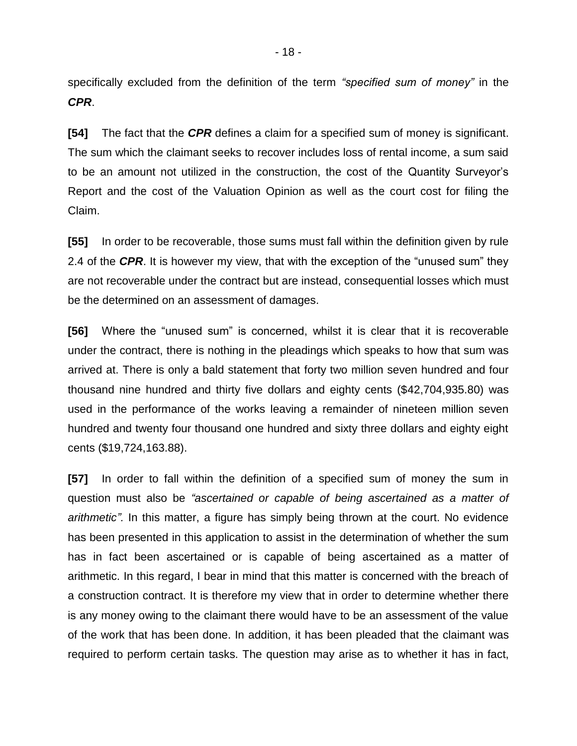specifically excluded from the definition of the term *"specified sum of money"* in the *CPR*.

**[54]** The fact that the *CPR* defines a claim for a specified sum of money is significant. The sum which the claimant seeks to recover includes loss of rental income, a sum said to be an amount not utilized in the construction, the cost of the Quantity Surveyor's Report and the cost of the Valuation Opinion as well as the court cost for filing the Claim.

**[55]** In order to be recoverable, those sums must fall within the definition given by rule 2.4 of the *CPR*. It is however my view, that with the exception of the "unused sum" they are not recoverable under the contract but are instead, consequential losses which must be the determined on an assessment of damages.

**[56]** Where the "unused sum" is concerned, whilst it is clear that it is recoverable under the contract, there is nothing in the pleadings which speaks to how that sum was arrived at. There is only a bald statement that forty two million seven hundred and four thousand nine hundred and thirty five dollars and eighty cents (\$42,704,935.80) was used in the performance of the works leaving a remainder of nineteen million seven hundred and twenty four thousand one hundred and sixty three dollars and eighty eight cents (\$19,724,163.88).

**[57]** In order to fall within the definition of a specified sum of money the sum in question must also be *"ascertained or capable of being ascertained as a matter of arithmetic".* In this matter, a figure has simply being thrown at the court. No evidence has been presented in this application to assist in the determination of whether the sum has in fact been ascertained or is capable of being ascertained as a matter of arithmetic. In this regard, I bear in mind that this matter is concerned with the breach of a construction contract. It is therefore my view that in order to determine whether there is any money owing to the claimant there would have to be an assessment of the value of the work that has been done. In addition, it has been pleaded that the claimant was required to perform certain tasks. The question may arise as to whether it has in fact,